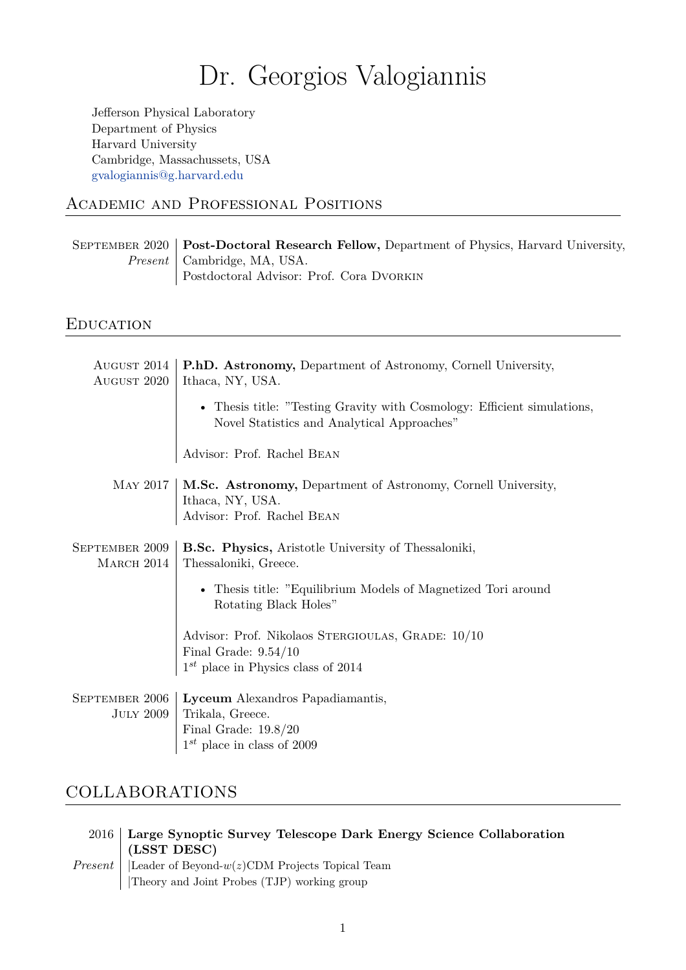# Dr. Georgios Valogiannis

Jefferson Physical Laboratory Department of Physics Harvard University Cambridge, Massachussets, USA gvalogiannis@g.harvard.edu

# Academic and Professional Positions

September 2020 **[Post-Doct](mailto:gvalogiannis@g.harvard.edu)oral Research Fellow,** Department of Physics, Harvard University, *Present* | Cambridge, MA, USA. Postdoctoral Advisor: Prof. Cora Dvorkin

# **EDUCATION**

| AUGUST 2014<br>AUGUST 2020   | P.h.D. Astronomy, Department of Astronomy, Cornell University,<br>Ithaca, NY, USA.                                                                                                                                                     |  |
|------------------------------|----------------------------------------------------------------------------------------------------------------------------------------------------------------------------------------------------------------------------------------|--|
|                              | • Thesis title: "Testing Gravity with Cosmology: Efficient simulations,<br>Novel Statistics and Analytical Approaches"                                                                                                                 |  |
|                              | Advisor: Prof. Rachel BEAN                                                                                                                                                                                                             |  |
|                              | MAY 2017   M.Sc. Astronomy, Department of Astronomy, Cornell University,<br>$\begin{minipage}{.4\linewidth} \textbf{I}thaca, NY, USA. \end{minipage} \begin{minipage}{.4\linewidth} \textbf{A}visor: Prof. Rachel BEAN \end{minipage}$ |  |
| SEPTEMBER 2009<br>MARCH 2014 | <b>B.Sc. Physics, Aristotle University of Thessaloniki,</b><br>Thessaloniki, Greece.                                                                                                                                                   |  |
|                              | • Thesis title: "Equilibrium Models of Magnetized Tori around<br>Rotating Black Holes"                                                                                                                                                 |  |
|                              | Advisor: Prof. Nikolaos STERGIOULAS, GRADE: 10/10<br>$\label{eq:final-grad} \text{Final Grade: } 9.54/10 \\ 1^{st} \text{ place in Physics class of } 2014$                                                                            |  |
|                              | SEPTEMBER 2006   Lyceum Alexandros Papadiamantis,<br>JULY 2009   Trikala, Greece.<br>Final Grade: $19.8/20\,$<br>$1^{st}$ place in class of 2009                                                                                       |  |

# COLLABORATIONS

| 2016 Large Synoptic Survey Telescope Dark Energy Science Collaboration<br>$\perp$ (LSST DESC)                      |
|--------------------------------------------------------------------------------------------------------------------|
| <i>Present</i>   Leader of Beyond- $w(z)$ CDM Projects Topical Team<br>Theory and Joint Probes (TJP) working group |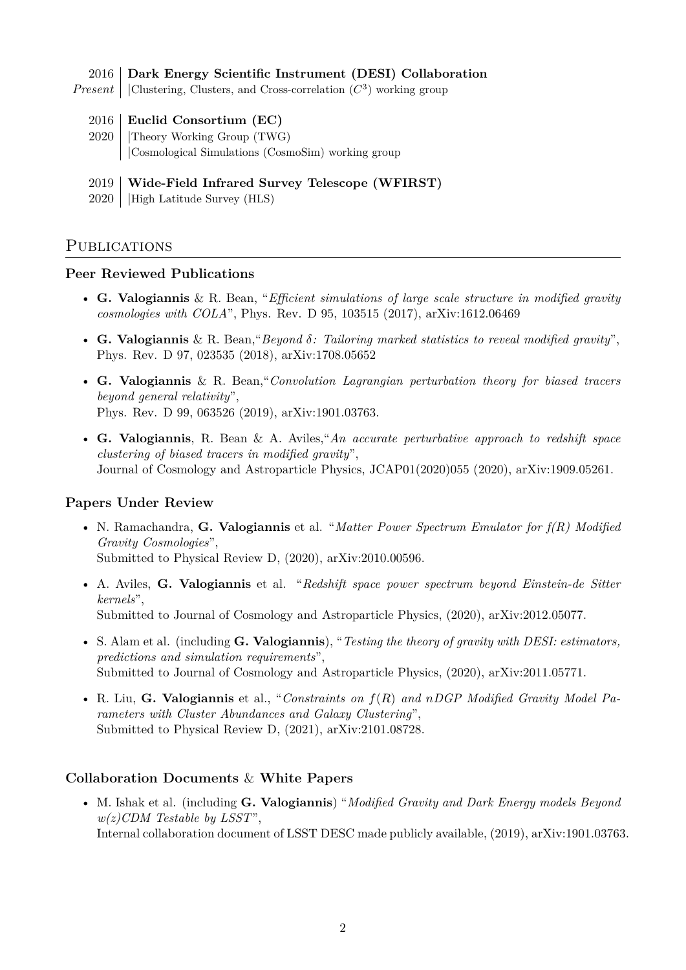#### 2016 **Dark Energy Scientific Instrument (DESI) Collaboration**

*Present* | Clustering, Clusters, and Cross-correlation  $(C^3)$  working group

- 2016 **Euclid Consortium (EC)**
- 2020 |Theory Working Group (TWG) |Cosmological Simulations (CosmoSim) working group

#### 2019 **Wide-Field Infrared Survey Telescope (WFIRST)**

2020 |High Latitude Survey (HLS)

### PUBLICATIONS

#### **Peer Reviewed Publications**

- **G. Valogiannis** & R. Bean, "*Efficient simulations of large scale structure in modified gravity cosmologies with COLA*", Phys. Rev. D 95, 103515 (2017), arXiv:1612.06469
- **G. Valogiannis** & R. Bean,"*Beyond δ: Tailoring marked statistics to reveal modified gravity*", Phys. Rev. D 97, 023535 (2018), arXiv:1708.05652
- **G. Valogiannis** & R. Bean,"*Convolution Lagrangian perturbation theory for biased tracers beyond general relativity*", Phys. Rev. D 99, 063526 (2019), arXiv:1901.03763.
- **G. Valogiannis**, R. Bean & A. Aviles,"*An accurate perturbative approach to redshift space clustering of biased tracers in modified gravity*", Journal of Cosmology and Astroparticle Physics, JCAP01(2020)055 (2020), arXiv:1909.05261.

#### **Papers Under Review**

- N. Ramachandra, **G. Valogiannis** et al. "*Matter Power Spectrum Emulator for f(R) Modified Gravity Cosmologies*", Submitted to Physical Review D, (2020), arXiv:2010.00596.
- A. Aviles, **G. Valogiannis** et al. "*Redshift space power spectrum beyond Einstein-de Sitter kernels*", Submitted to Journal of Cosmology and Astroparticle Physics, (2020), arXiv:2012.05077.
- S. Alam et al. (including **G. Valogiannis**), "*Testing the theory of gravity with DESI: estimators, predictions and simulation requirements*", Submitted to Journal of Cosmology and Astroparticle Physics, (2020), arXiv:2011.05771.
- R. Liu, **G. Valogiannis** et al., "*Constraints on f*(*R*) *and nDGP Modified Gravity Model Parameters with Cluster Abundances and Galaxy Clustering*", Submitted to Physical Review D, (2021), arXiv:2101.08728.

#### **Collaboration Documents** & **White Papers**

• M. Ishak et al. (including **G. Valogiannis**) "*Modified Gravity and Dark Energy models Beyond w(z)CDM Testable by LSST*", Internal collaboration document of LSST DESC made publicly available, (2019), arXiv:1901.03763.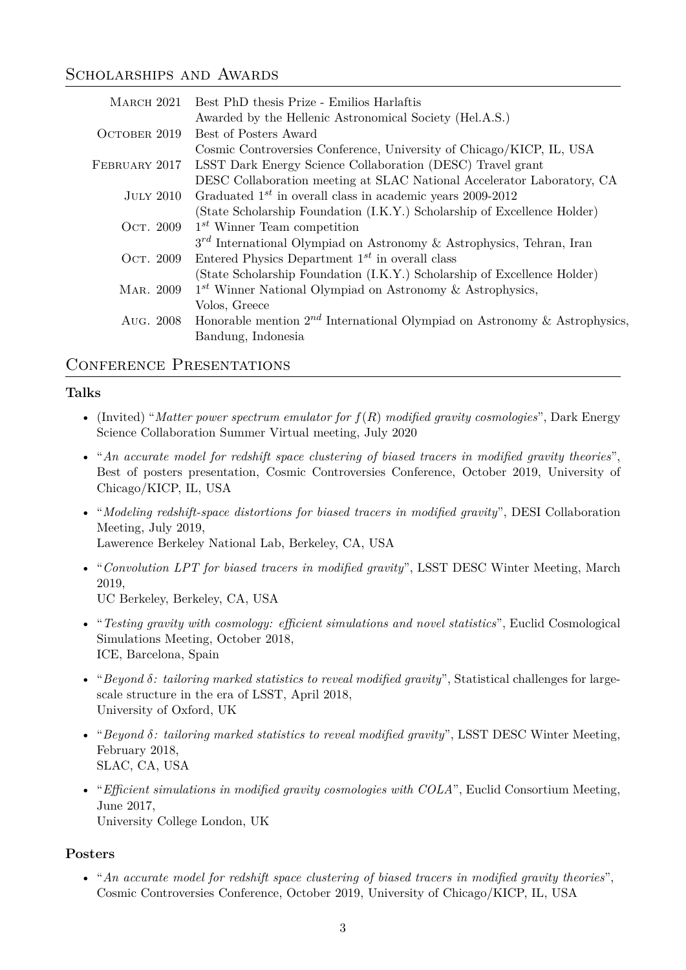### SCHOLARSHIPS AND AWARDS

| MARCH 2021    | Best PhD thesis Prize - Emilios Harlaftis                                      |
|---------------|--------------------------------------------------------------------------------|
|               | Awarded by the Hellenic Astronomical Society (Hel.A.S.)                        |
| OCTOBER 2019  | Best of Posters Award                                                          |
|               | Cosmic Controversies Conference, University of Chicago/KICP, IL, USA           |
| FEBRUARY 2017 | LSST Dark Energy Science Collaboration (DESC) Travel grant                     |
|               | DESC Collaboration meeting at SLAC National Accelerator Laboratory, CA         |
| JULY 2010     | Graduated $1^{st}$ in overall class in academic years 2009-2012                |
|               | (State Scholarship Foundation (I.K.Y.) Scholarship of Excellence Holder)       |
| Ост. 2009     | $1^{st}$ Winner Team competition                                               |
|               | $3^{rd}$ International Olympiad on Astronomy & Astrophysics, Tehran, Iran      |
| Ост. 2009     | Entered Physics Department $1^{st}$ in overall class                           |
|               | (State Scholarship Foundation (I.K.Y.) Scholarship of Excellence Holder)       |
| MAR. 2009     | $1^{st}$ Winner National Olympiad on Astronomy & Astrophysics,                 |
|               | Volos, Greece                                                                  |
| Aug. 2008     | Honorable mention $2^{nd}$ International Olympiad on Astronomy & Astrophysics, |
|               | Bandung, Indonesia                                                             |

### CONFERENCE PRESENTATIONS

### **Talks**

- (Invited) "*Matter power spectrum emulator for f*(*R*) *modified gravity cosmologies*", Dark Energy Science Collaboration Summer Virtual meeting, July 2020
- "*An accurate model for redshift space clustering of biased tracers in modified gravity theories*", Best of posters presentation, Cosmic Controversies Conference, October 2019, University of Chicago/KICP, IL, USA
- "*Modeling redshift-space distortions for biased tracers in modified gravity*", DESI Collaboration Meeting, July 2019, Lawerence Berkeley National Lab, Berkeley, CA, USA
- "*Convolution LPT for biased tracers in modified gravity*", LSST DESC Winter Meeting, March 2019, UC Berkeley, Berkeley, CA, USA
- "*Testing gravity with cosmology: efficient simulations and novel statistics*", Euclid Cosmological Simulations Meeting, October 2018, ICE, Barcelona, Spain
- "*Beyond δ: tailoring marked statistics to reveal modified gravity*", Statistical challenges for largescale structure in the era of LSST, April 2018, University of Oxford, UK
- "*Beyond δ: tailoring marked statistics to reveal modified gravity*", LSST DESC Winter Meeting, February 2018, SLAC, CA, USA
- "*Efficient simulations in modified gravity cosmologies with COLA*", Euclid Consortium Meeting, June 2017, University College London, UK

### **Posters**

• "*An accurate model for redshift space clustering of biased tracers in modified gravity theories*", Cosmic Controversies Conference, October 2019, University of Chicago/KICP, IL, USA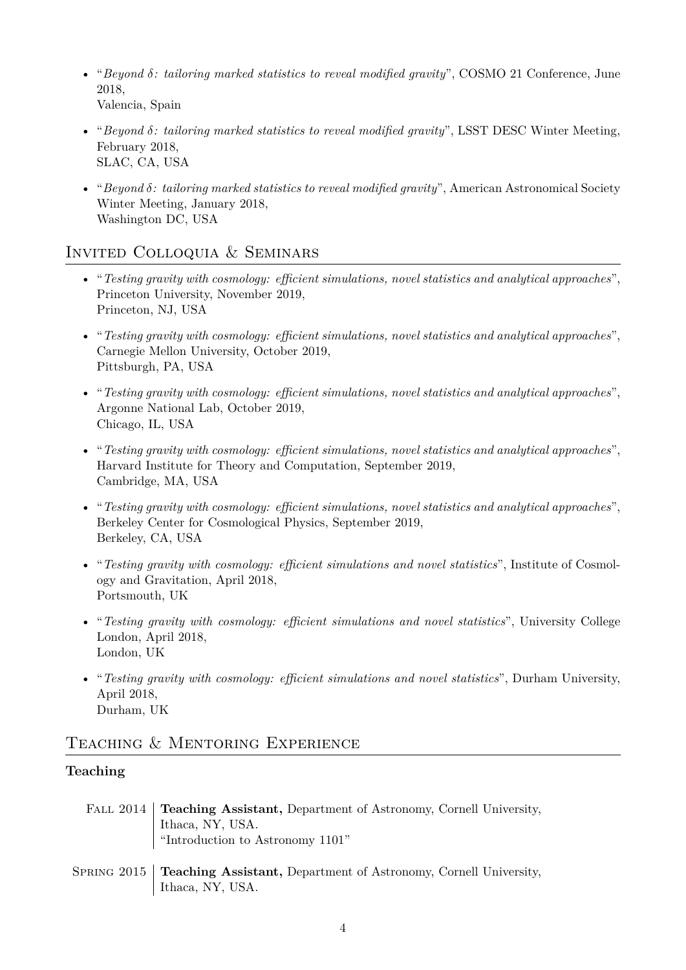- "*Beyond δ: tailoring marked statistics to reveal modified gravity*", COSMO 21 Conference, June 2018, Valencia, Spain
- "*Beyond δ: tailoring marked statistics to reveal modified gravity*", LSST DESC Winter Meeting, February 2018, SLAC, CA, USA
- "*Beyond δ: tailoring marked statistics to reveal modified gravity*", American Astronomical Society Winter Meeting, January 2018, Washington DC, USA

# Invited Colloquia & Seminars

- "*Testing gravity with cosmology: efficient simulations, novel statistics and analytical approaches*", Princeton University, November 2019, Princeton, NJ, USA
- "*Testing gravity with cosmology: efficient simulations, novel statistics and analytical approaches*", Carnegie Mellon University, October 2019, Pittsburgh, PA, USA
- "*Testing gravity with cosmology: efficient simulations, novel statistics and analytical approaches*", Argonne National Lab, October 2019, Chicago, IL, USA
- "*Testing gravity with cosmology: efficient simulations, novel statistics and analytical approaches*", Harvard Institute for Theory and Computation, September 2019, Cambridge, MA, USA
- "*Testing gravity with cosmology: efficient simulations, novel statistics and analytical approaches*", Berkeley Center for Cosmological Physics, September 2019, Berkeley, CA, USA
- "*Testing gravity with cosmology: efficient simulations and novel statistics*", Institute of Cosmology and Gravitation, April 2018, Portsmouth, UK
- "*Testing gravity with cosmology: efficient simulations and novel statistics*", University College London, April 2018, London, UK
- "*Testing gravity with cosmology: efficient simulations and novel statistics*", Durham University, April 2018, Durham, UK

### Teaching & Mentoring Experience

### **Teaching**

- Fall 2014 **Teaching Assistant,** Department of Astronomy, Cornell University, Ithaca, NY, USA. "Introduction to Astronomy 1101"
- Spring 2015 **Teaching Assistant,** Department of Astronomy, Cornell University, Ithaca, NY, USA.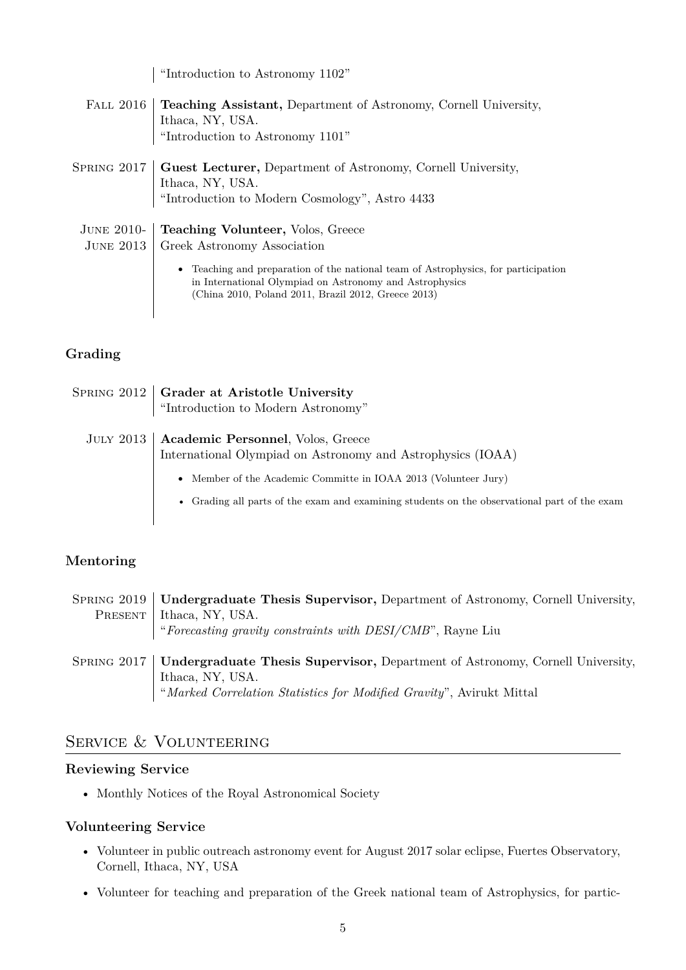"Introduction to Astronomy 1102" Fall 2016 **Teaching Assistant,** Department of Astronomy, Cornell University, Ithaca, NY, USA. "Introduction to Astronomy 1101" Spring 2017 **Guest Lecturer,** Department of Astronomy, Cornell University, Ithaca, NY, USA. "Introduction to Modern Cosmology", Astro 4433 June 2010- **Teaching Volunteer,** Volos, Greece June 2013 Greek Astronomy Association • Teaching and preparation of the national team of Astrophysics, for participation in International Olympiad on Astronomy and Astrophysics

(China 2010, Poland 2011, Brazil 2012, Greece 2013)

### **Grading**

| SPRING 2012   Grader at Aristotle University<br>"Introduction to Modern Astronomy"                           |
|--------------------------------------------------------------------------------------------------------------|
| JULY 2013   Academic Personnel, Volos, Greece<br>International Olympiad on Astronomy and Astrophysics (IOAA) |
| • Member of the Academic Committe in IOAA 2013 (Volunteer Jury)                                              |
| • Grading all parts of the exam and examining students on the observational part of the exam                 |

# **Mentoring**

|         | SPRING 2019   Undergraduate Thesis Supervisor, Department of Astronomy, Cornell University, |  |
|---------|---------------------------------------------------------------------------------------------|--|
| PRESENT | Ithaca, NY, USA.                                                                            |  |
|         | "Forecasting gravity constraints with DESI/CMB", Rayne Liu                                  |  |
|         |                                                                                             |  |
|         | SPRING 2017   Undergraduate Thesis Supervisor, Department of Astronomy, Cornell University, |  |
|         | Ithaca, NY, USA.                                                                            |  |
|         | "Marked Correlation Statistics for Modified Gravity", Avirukt Mittal                        |  |

# SERVICE & VOLUNTEERING

### **Reviewing Service**

• Monthly Notices of the Royal Astronomical Society

### **Volunteering Service**

- Volunteer in public outreach astronomy event for August 2017 solar eclipse, Fuertes Observatory, Cornell, Ithaca, NY, USA
- Volunteer for teaching and preparation of the Greek national team of Astrophysics, for partic-